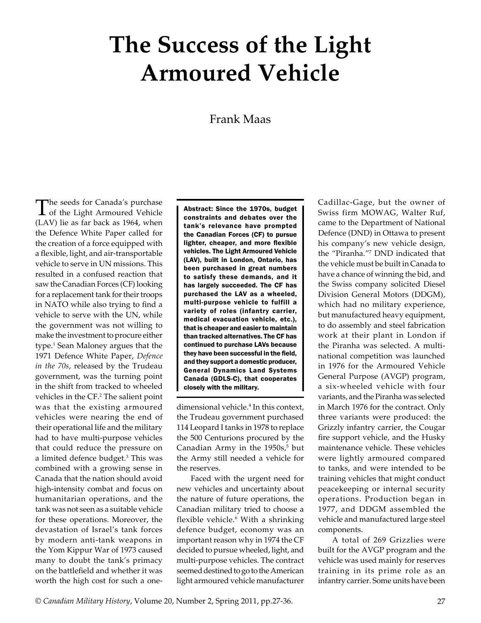## **The Success of the Light Armoured Vehicle**

## Frank Maas

The seeds for Canada's purchase<br>
of the Light Armoured Vehicle (LAV) lie as far back as 1964, when the Defence White Paper called for the creation of a force equipped with a flexible, light, and air-transportable vehicle to serve in UN missions. This resulted in a confused reaction that saw the Canadian Forces (CF) looking for a replacement tank for their troops in NATO while also trying to find a vehicle to serve with the UN, while the government was not willing to make the investment to procure either type.<sup>1</sup> Sean Maloney argues that the 1971 Defence White Paper, *Defence in the 70s*, released by the Trudeau government, was the turning point in the shift from tracked to wheeled vehicles in the CF.<sup>2</sup> The salient point was that the existing armoured vehicles were nearing the end of their operational life and the military had to have multi-purpose vehicles that could reduce the pressure on a limited defence budget.<sup>3</sup> This was combined with a growing sense in Canada that the nation should avoid high-intensity combat and focus on humanitarian operations, and the tank was not seen as a suitable vehicle for these operations. Moreover, the devastation of Israel's tank forces by modern anti-tank weapons in the Yom Kippur War of 1973 caused many to doubt the tank's primacy on the battlefield and whether it was worth the high cost for such a one-

Abstract: Since the 1970s, budget constraints and debates over the tank's relevance have prompted the Canadian Forces (CF) to pursue lighter, cheaper, and more flexible vehicles. The Light Armoured Vehicle (LAV), built in London, Ontario, has been purchased in great numbers to satisfy these demands, and it has largely succeeded. The CF has purchased the LAV as a wheeled, multi-purpose vehicle to fulfill a variety of roles (infantry carrier, medical evacuation vehicle, etc.), that is cheaper and easier to maintain than tracked alternatives. The CF has continued to purchase LAVs because they have been successful in the field, and they support a domestic producer, General Dynamics Land Systems Canada (GDLS-C), that cooperates closely with the military.

dimensional vehicle.4 In this context, the Trudeau government purchased 114 Leopard I tanks in 1978 to replace the 500 Centurions procured by the Canadian Army in the  $1950s$ ,<sup>5</sup> but the Army still needed a vehicle for the reserves.

Faced with the urgent need for new vehicles and uncertainty about the nature of future operations, the Canadian military tried to choose a flexible vehicle.<sup>6</sup> With a shrinking defence budget, economy was an important reason why in 1974 the CF decided to pursue wheeled, light, and multi-purpose vehicles. The contract seemed destined to go to the American light armoured vehicle manufacturer

Cadillac-Gage, but the owner of Swiss firm MOWAG, Walter Ruf, came to the Department of National Defence (DND) in Ottawa to present his company's new vehicle design, the "Piranha."7 DND indicated that the vehicle must be built in Canada to have a chance of winning the bid, and the Swiss company solicited Diesel Division General Motors (DDGM), which had no military experience, but manufactured heavy equipment, to do assembly and steel fabrication work at their plant in London if the Piranha was selected. A multinational competition was launched in 1976 for the Armoured Vehicle General Purpose (AVGP) program, a six-wheeled vehicle with four variants, and the Piranha was selected in March 1976 for the contract. Only three variants were produced: the Grizzly infantry carrier, the Cougar fire support vehicle, and the Husky maintenance vehicle. These vehicles were lightly armoured compared to tanks, and were intended to be training vehicles that might conduct peacekeeping or internal security operations. Production began in 1977, and DDGM assembled the vehicle and manufactured large steel components.

A total of 269 Grizzlies were built for the AVGP program and the vehicle was used mainly for reserves training in its prime role as an infantry carrier. Some units have been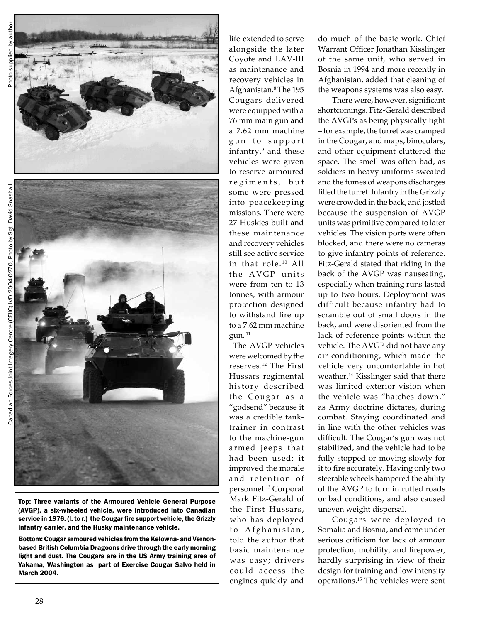

Top: Three variants of the Armoured Vehicle General Purpose (AVGP), a six-wheeled vehicle, were introduced into Canadian service in 1976. (l. to r.) the Cougar fire support vehicle, the Grizzly infantry carrier, and the Husky maintenance vehicle.

Bottom: Cougar armoured vehicles from the Kelowna- and Vernonbased British Columbia Dragoons drive through the early morning light and dust. The Cougars are in the US Army training area of Yakama, Washington as part of Exercise Cougar Salvo held in March 2004.

life-extended to serve alongside the later Coyote and LAV‑III as maintenance and recovery vehicles in Afghanistan.<sup>8</sup> The 195 Cougars delivered were equipped with a 76 mm main gun and a 7.62 mm machine gun to support infantry,9 and these vehicles were given to reserve armoured regiments, but some were pressed into peacekeeping missions. There were 27 Huskies built and these maintenance and recovery vehicles still see active service in that role.<sup>10</sup> All the AVGP units were from ten to 13 tonnes, with armour protection designed to withstand fire up to a 7.62 mm machine gun.<sup>11</sup>

The AVGP vehicles were welcomed by the reserves.12 The First Hussars regimental history described the Cougar as a "godsend" because it was a credible tanktrainer in contrast to the machine-gun armed jeeps that had been used; it improved the morale and retention of personnel.13 Corporal Mark Fitz-Gerald of the First Hussars, who has deployed to Afghanistan, told the author that basic maintenance was easy; drivers could access the engines quickly and

do much of the basic work. Chief Warrant Officer Jonathan Kisslinger of the same unit, who served in Bosnia in 1994 and more recently in Afghanistan, added that cleaning of the weapons systems was also easy.

There were, however, significant shortcomings. Fitz-Gerald described the AVGPs as being physically tight – for example, the turret was cramped in the Cougar, and maps, binoculars, and other equipment cluttered the space. The smell was often bad, as soldiers in heavy uniforms sweated and the fumes of weapons discharges filled the turret. Infantry in the Grizzly were crowded in the back, and jostled because the suspension of AVGP units was primitive compared to later vehicles. The vision ports were often blocked, and there were no cameras to give infantry points of reference. Fitz-Gerald stated that riding in the back of the AVGP was nauseating, especially when training runs lasted up to two hours. Deployment was difficult because infantry had to scramble out of small doors in the back, and were disoriented from the lack of reference points within the vehicle. The AVGP did not have any air conditioning, which made the vehicle very uncomfortable in hot weather.14 Kisslinger said that there was limited exterior vision when the vehicle was "hatches down," as Army doctrine dictates, during combat. Staying coordinated and in line with the other vehicles was difficult. The Cougar's gun was not stabilized, and the vehicle had to be fully stopped or moving slowly for it to fire accurately. Having only two steerable wheels hampered the ability of the AVGP to turn in rutted roads or bad conditions, and also caused uneven weight dispersal.

Cougars were deployed to Somalia and Bosnia, and came under serious criticism for lack of armour protection, mobility, and firepower, hardly surprising in view of their design for training and low intensity operations.15 The vehicles were sent

Photo by Sgt. David Snashall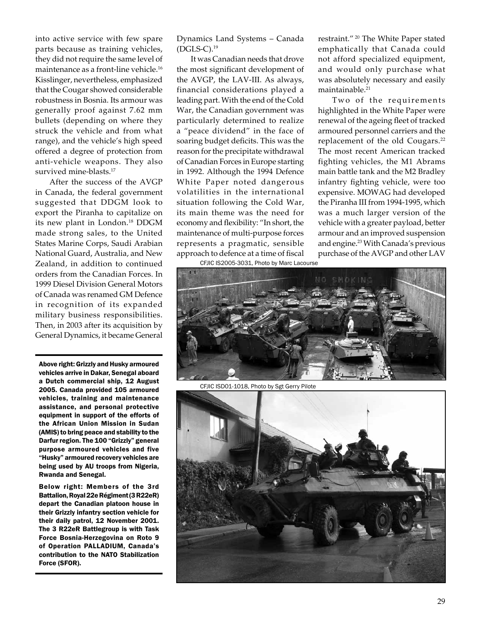into active service with few spare parts because as training vehicles, they did not require the same level of maintenance as a front-line vehicle.<sup>16</sup> Kisslinger, nevertheless, emphasized that the Cougar showed considerable robustness in Bosnia. Its armour was generally proof against 7.62 mm bullets (depending on where they struck the vehicle and from what range), and the vehicle's high speed offered a degree of protection from anti-vehicle weapons. They also survived mine-blasts.<sup>17</sup>

After the success of the AVGP in Canada, the federal government suggested that DDGM look to export the Piranha to capitalize on its new plant in London.<sup>18</sup> DDGM made strong sales, to the United States Marine Corps, Saudi Arabian National Guard, Australia, and New Zealand, in addition to continued orders from the Canadian Forces. In 1999 Diesel Division General Motors of Canada was renamed GM Defence in recognition of its expanded military business responsibilities. Then, in 2003 after its acquisition by General Dynamics, it became General

Above right: Grizzly and Husky armoured vehicles arrive in Dakar, Senegal aboard a Dutch commercial ship, 12 August 2005. Canada provided 105 armoured vehicles, training and maintenance assistance, and personal protective equipment in support of the efforts of the African Union Mission in Sudan (AMIS) to bring peace and stability to the Darfur region. The 100 "Grizzly" general purpose armoured vehicles and five "Husky" armoured recovery vehicles are being used by AU troops from Nigeria, Rwanda and Senegal.

Below right: Members of the 3rd Battalion, Royal 22e Régiment (3 R22eR) depart the Canadian platoon house in their Grizzly infantry section vehicle for their daily patrol, 12 November 2001. The 3 R22eR Battlegroup is with Task Force Bosnia-Herzegovina on Roto 9 of Operation PALLADIUM, Canada's contribution to the NATO Stabilization Force (SFOR).

Dynamics Land Systems – Canada  $(DGLS-C).<sup>19</sup>$ 

It was Canadian needs that drove the most significant development of the AVGP, the LAV‑III. As always, financial considerations played a leading part. With the end of the Cold War, the Canadian government was particularly determined to realize a "peace dividend" in the face of soaring budget deficits. This was the reason for the precipitate withdrawal of Canadian Forces in Europe starting in 1992. Although the 1994 Defence White Paper noted dangerous volatilities in the international situation following the Cold War, its main theme was the need for economy and flexibility: "In short, the maintenance of multi-purpose forces represents a pragmatic, sensible approach to defence at a time of fiscal

CFJIC IS2005-3031, Photo by Marc Lacourse

restraint." 20 The White Paper stated emphatically that Canada could not afford specialized equipment, and would only purchase what was absolutely necessary and easily maintainable.<sup>21</sup>

Two of the requirements highlighted in the White Paper were renewal of the ageing fleet of tracked armoured personnel carriers and the replacement of the old Cougars.<sup>22</sup> The most recent American tracked fighting vehicles, the M1 Abrams main battle tank and the M2 Bradley infantry fighting vehicle, were too expensive. MOWAG had developed the Piranha III from 1994-1995, which was a much larger version of the vehicle with a greater payload, better armour and an improved suspension and engine.23 With Canada's previous purchase of the AVGP and other LAV



CFJIC ISD01-1018, Photo by Sgt Gerry Pilote

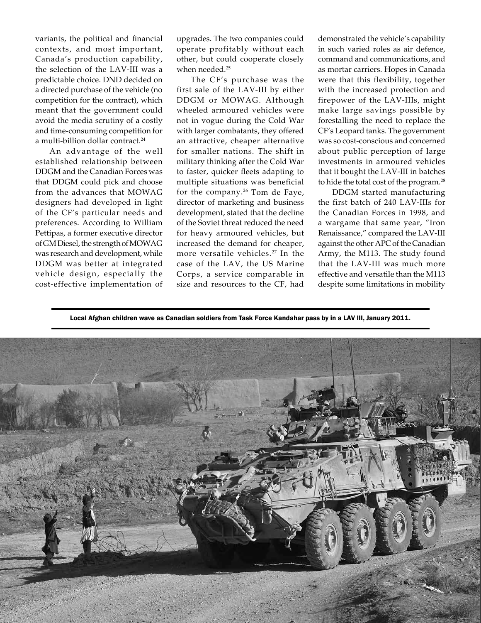variants, the political and financial contexts, and most important, Canada's production capability, the selection of the LAV-III was a predictable choice. DND decided on a directed purchase of the vehicle (no competition for the contract), which meant that the government could avoid the media scrutiny of a costly and time-consuming competition for a multi-billion dollar contract.<sup>24</sup>

An advantage of the well established relationship between DDGM and the Canadian Forces was that DDGM could pick and choose from the advances that MOWAG designers had developed in light of the CF's particular needs and preferences. According to William Pettipas, a former executive director of GM Diesel, the strength of MOWAG was research and development, while DDGM was better at integrated vehicle design, especially the cost-effective implementation of

upgrades. The two companies could operate profitably without each other, but could cooperate closely when needed.<sup>25</sup>

The CF's purchase was the first sale of the LAV‑III by either DDGM or MOWAG. Although wheeled armoured vehicles were not in vogue during the Cold War with larger combatants, they offered an attractive, cheaper alternative for smaller nations. The shift in military thinking after the Cold War to faster, quicker fleets adapting to multiple situations was beneficial for the company.26 Tom de Faye, director of marketing and business development, stated that the decline of the Soviet threat reduced the need for heavy armoured vehicles, but increased the demand for cheaper, more versatile vehicles.27 In the case of the LAV, the US Marine Corps, a service comparable in size and resources to the CF, had

demonstrated the vehicle's capability in such varied roles as air defence, command and communications, and as mortar carriers. Hopes in Canada were that this flexibility, together with the increased protection and firepower of the LAV‑IIIs, might make large savings possible by forestalling the need to replace the CF's Leopard tanks. The government was so cost-conscious and concerned about public perception of large investments in armoured vehicles that it bought the LAV‑III in batches to hide the total cost of the program.<sup>28</sup>

DDGM started manufacturing the first batch of 240 LAV‑IIIs for the Canadian Forces in 1998, and a wargame that same year, "Iron Renaissance," compared the LAV‑III against the other APC of the Canadian Army, the M113. The study found that the LAV‑III was much more effective and versatile than the M113 despite some limitations in mobility

Local Afghan children wave as Canadian soldiers from Task Force Kandahar pass by in a LAV III, January 2011.

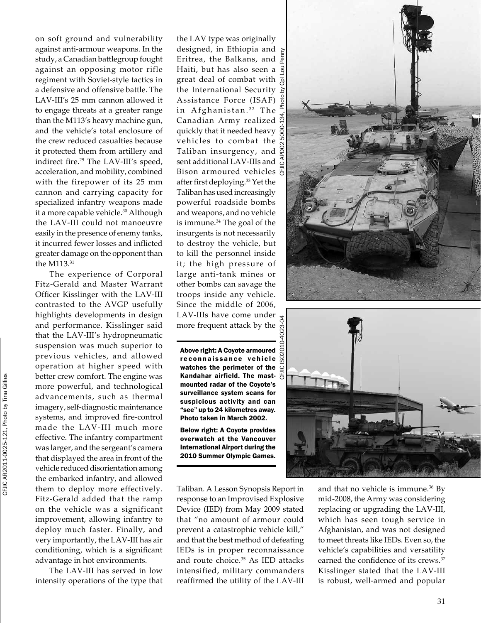on soft ground and vulnerability against anti-armour weapons. In the study, a Canadian battlegroup fought against an opposing motor rifle regiment with Soviet-style tactics in a defensive and offensive battle. The LAV‑III's 25 mm cannon allowed it to engage threats at a greater range than the M113's heavy machine gun, and the vehicle's total enclosure of the crew reduced casualties because it protected them from artillery and indirect fire.<sup>29</sup> The LAV-III's speed, acceleration, and mobility, combined with the firepower of its 25 mm cannon and carrying capacity for specialized infantry weapons made it a more capable vehicle.<sup>30</sup> Although the LAV‑III could not manoeuvre easily in the presence of enemy tanks, it incurred fewer losses and inflicted greater damage on the opponent than the M113.<sup>31</sup>

The experience of Corporal Fitz-Gerald and Master Warrant Officer Kisslinger with the LAV‑III contrasted to the AVGP usefully highlights developments in design and performance. Kisslinger said that the LAV‑III's hydropneumatic suspension was much superior to previous vehicles, and allowed operation at higher speed with better crew comfort. The engine was more powerful, and technological advancements, such as thermal imagery, self-diagnostic maintenance systems, and improved fire-control made the LAV‑III much more effective. The infantry compartment was larger, and the sergeant's camera that displayed the area in front of the vehicle reduced disorientation among the embarked infantry, and allowed them to deploy more effectively. Fitz-Gerald added that the ramp on the vehicle was a significant improvement, allowing infantry to deploy much faster. Finally, and very importantly, the LAV‑III has air conditioning, which is a significant advantage in hot environments.

CFJIC AR2011-0025-121, Photo by Tina Gillies

CFJIC AR2011-0025-121, Photo by Tina Gillies

The LAV-III has served in low intensity operations of the type that

the LAV type was originally designed, in Ethiopia and Eritrea, the Balkans, and Haiti, but has also seen a great deal of combat with  $\frac{1}{6}$ the International Security Assistance Force (ISAF) in Afghanistan.<sup>32</sup> The Canadian Army realized quickly that it needed heavy vehicles to combat the Taliban insurgency, and  $\beta$ sent additional LAV‑IIIs and Bison armoured vehicles  $\ddot{\theta}$ after first deploying.33 Yet the Taliban has used increasingly powerful roadside bombs and weapons, and no vehicle is immune.<sup>34</sup> The goal of the insurgents is not necessarily to destroy the vehicle, but to kill the personnel inside it; the high pressure of large anti-tank mines or other bombs can savage the troops inside any vehicle. Since the middle of 2006, LAV‑IIIs have come under more frequent attack by the CFJIC ISO2010-4023-04

Above right: A Coyote armoured reconnaissance vehicle watches the perimeter of the  $\mathcal Q$ Kandahar airfield. The mast-  $\frac{11}{10}$ mounted radar of the Coyote's surveillance system scans for suspicious activity and can "see" up to 24 kilometres away. Photo taken in March 2002.

Below right: A Coyote provides overwatch at the Vancouver International Airport during the 2010 Summer Olympic Games.

Taliban. A Lesson Synopsis Report in response to an Improvised Explosive Device (IED) from May 2009 stated that "no amount of armour could prevent a catastrophic vehicle kill," and that the best method of defeating IEDs is in proper reconnaissance and route choice.<sup>35</sup> As IED attacks intensified, military commanders reaffirmed the utility of the LAV‑III





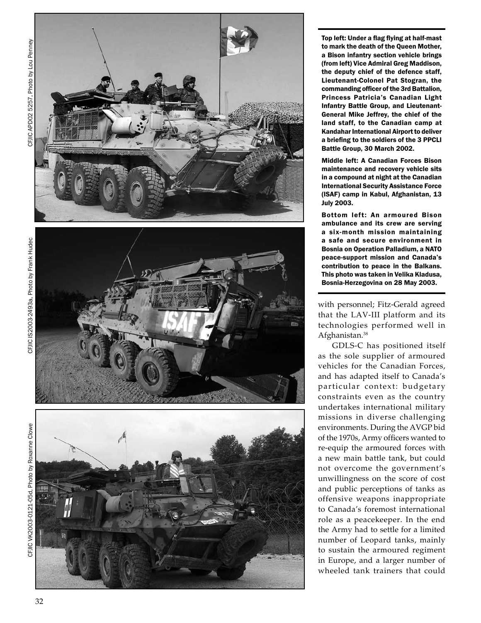



Top left: Under a flag flying at half-mast to mark the death of the Queen Mother, a Bison infantry section vehicle brings (from left) Vice Admiral Greg Maddison, the deputy chief of the defence staff, Lieutenant-Colonel Pat Stogran, the commanding officer of the 3rd Battalion, Princess Patricia's Canadian Light Infantry Battle Group, and Lieutenant-General Mike Jeffrey, the chief of the land staff, to the Canadian camp at Kandahar International Airport to deliver a briefing to the soldiers of the 3 PPCLI Battle Group, 30 March 2002.

Middle left: A Canadian Forces Bison maintenance and recovery vehicle sits in a compound at night at the Canadian International Security Assistance Force (ISAF) camp in Kabul, Afghanistan, 13 July 2003.

Bottom left: An armoured Bison ambulance and its crew are serving a six-month mission maintaining a safe and secure environment in Bosnia on Operation Palladium, a NATO peace-support mission and Canada's contribution to peace in the Balkans. This photo was taken in Velika Kladusa, Bosnia-Herzegovina on 28 May 2003.

with personnel; Fitz-Gerald agreed that the LAV ‑III platform and its technologies performed well in Afghanistan.<sup>38</sup>

GDLS ‑C has positioned itself as the sole supplier of armoured vehicles for the Canadian Forces, and has adapted itself to Canada's particular context: budgetary constraints even as the country undertakes international military missions in diverse challenging environments. During the AVGP bid of the 1970s, Army officers wanted to re-equip the armoured forces with a new main battle tank, but could not overcome the government's unwillingness on the score of cost and public perceptions of tanks as offensive weapons inappropriate to Canada's foremost international role as a peacekeeper. In the end the Army had to settle for a limited number of Leopard tanks, mainly to sustain the armoured regiment in Europe, and a larger number of wheeled tank trainers that could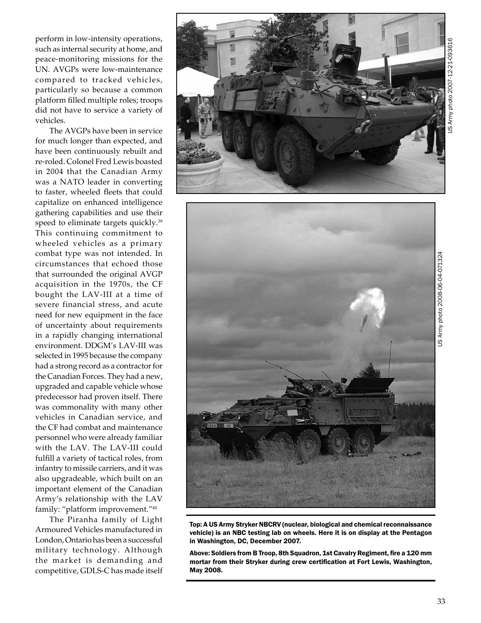Army photo 2007-12-21-093616 US Army photo 2007-12-21-093616ഴ്

perform in low-intensity operations, such as internal security at home, and peace-monitoring missions for the UN. AVGPs were low-maintenance compared to tracked vehicles, particularly so because a common platform filled multiple roles; troops did not have to service a variety of vehicles.

The AVGPs have been in service for much longer than expected, and have been continuously rebuilt and re-roled. Colonel Fred Lewis boasted in 2004 that the Canadian Army was a NATO leader in converting to faster, wheeled fleets that could capitalize on enhanced intelligence gathering capabilities and use their speed to eliminate targets quickly.<sup>39</sup> This continuing commitment to wheeled vehicles as a primary combat type was not intended. In circumstances that echoed those that surrounded the original AVGP acquisition in the 1970s, the CF bought the LAV‑III at a time of severe financial stress, and acute need for new equipment in the face of uncertainty about requirements in a rapidly changing international environment. DDGM's LAV‑III was selected in 1995 because the company had a strong record as a contractor for the Canadian Forces. They had a new, upgraded and capable vehicle whose predecessor had proven itself. There was commonality with many other vehicles in Canadian service, and the CF had combat and maintenance personnel who were already familiar with the LAV. The LAV‑III could fulfill a variety of tactical roles, from infantry to missile carriers, and it was also upgradeable, which built on an important element of the Canadian Army's relationship with the LAV family: "platform improvement."40

The Piranha family of Light Armoured Vehicles manufactured in London, Ontario has been a successful military technology. Although the market is demanding and competitive, GDLS‑C has made itself





Top: A US Army Stryker NBCRV (nuclear, biological and chemical reconnaissance vehicle) is an NBC testing lab on wheels. Here it is on display at the Pentagon in Washington, DC, December 2007.

Above: Soldiers from B Troop, 8th Squadron, 1st Cavalry Regiment, fire a 120 mm mortar from their Stryker during crew certification at Fort Lewis, Washington, May 2008.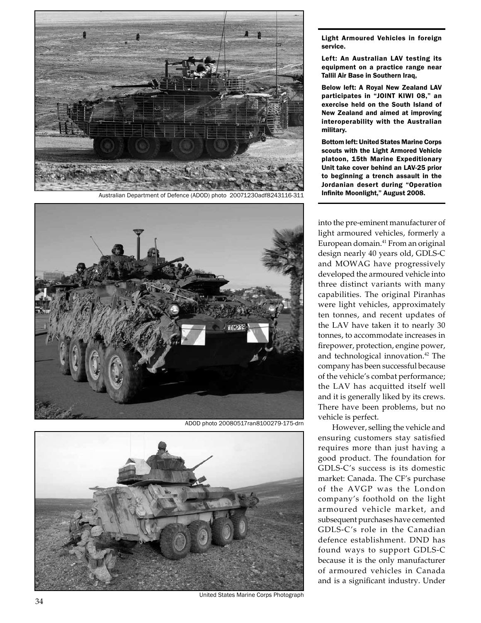

Australian Department of Defence (ADOD) photo 20071230adf8243116-311 **Infinite Moonlight," August 2008.** 



ADOD photo 20080517ran8100279-175-drn



United States Marine Corps Photograph

Light Armoured Vehicles in foreign service.

Left: An Australian LAV testing its equipment on a practice range near Tallil Air Base in Southern Iraq,

Below left: A Royal New Zealand LAV participates in "JOINT KIWI 08," an exercise held on the South Island of New Zealand and aimed at improving interoperability with the Australian military.

Bottom left: United States Marine Corps scouts with the Light Armored Vehicle platoon, 15th Marine Expeditionary Unit take cover behind an LAV-25 prior to beginning a trench assault in the Jordanian desert during "Operation

into the pre-eminent manufacturer of light armoured vehicles, formerly a European domain.41 From an original design nearly 40 years old, GDLS-C and MOWAG have progressively developed the armoured vehicle into three distinct variants with many capabilities. The original Piranhas were light vehicles, approximately ten tonnes, and recent updates of the LAV have taken it to nearly 30 tonnes, to accommodate increases in firepower, protection, engine power, and technological innovation.42 The company has been successful because of the vehicle's combat performance; the LAV has acquitted itself well and it is generally liked by its crews. There have been problems, but no vehicle is perfect.

However, selling the vehicle and ensuring customers stay satisfied requires more than just having a good product. The foundation for GDLS‑C's success is its domestic market: Canada. The CF's purchase of the AVGP was the London company's foothold on the light armoured vehicle market, and subsequent purchases have cemented GDLS‑C's role in the Canadian defence establishment. DND has found ways to support GDLS‑C because it is the only manufacturer of armoured vehicles in Canada and is a significant industry. Under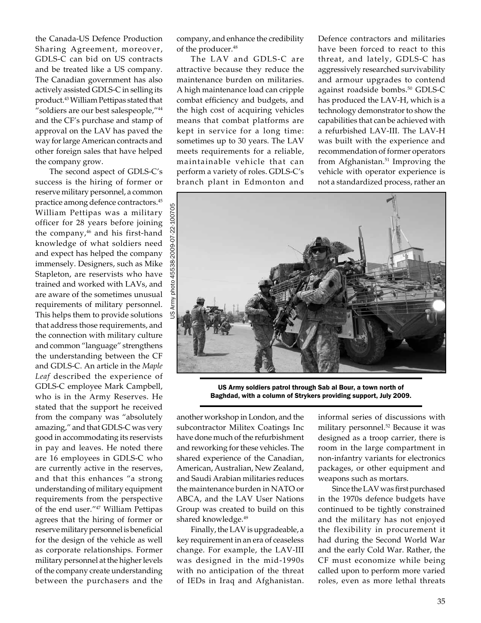the Canada-US Defence Production Sharing Agreement, moreover, GDLS‑C can bid on US contracts and be treated like a US company. The Canadian government has also actively assisted GDLS‑C in selling its product.43 William Pettipas stated that "soldiers are our best salespeople,"44 and the CF's purchase and stamp of approval on the LAV has paved the way for large American contracts and other foreign sales that have helped the company grow.

The second aspect of GDLS‑C's success is the hiring of former or reserve military personnel, a common practice among defence contractors.45 William Pettipas was a military officer for 28 years before joining the company,<sup>46</sup> and his first-hand knowledge of what soldiers need and expect has helped the company immensely. Designers, such as Mike Stapleton, are reservists who have trained and worked with LAVs, and are aware of the sometimes unusual requirements of military personnel. This helps them to provide solutions that address those requirements, and the connection with military culture and common "language" strengthens the understanding between the CF and GDLS‑C. An article in the *Maple Leaf* described the experience of GDLS‑C employee Mark Campbell, who is in the Army Reserves. He stated that the support he received from the company was "absolutely amazing," and that GDLS‑C was very good in accommodating its reservists in pay and leaves. He noted there are 16 employees in GDLS‑C who are currently active in the reserves, and that this enhances "a strong understanding of military equipment requirements from the perspective of the end user."47 William Pettipas agrees that the hiring of former or reserve military personnel is beneficial for the design of the vehicle as well as corporate relationships. Former military personnel at the higher levels of the company create understanding between the purchasers and the

company, and enhance the credibility of the producer.<sup>48</sup>

The LAV and GDLS‑C are attractive because they reduce the maintenance burden on militaries. A high maintenance load can cripple combat efficiency and budgets, and the high cost of acquiring vehicles means that combat platforms are kept in service for a long time: sometimes up to 30 years. The LAV meets requirements for a reliable, maintainable vehicle that can perform a variety of roles. GDLS‑C's branch plant in Edmonton and

Defence contractors and militaries have been forced to react to this threat, and lately, GDLS‑C has aggressively researched survivability and armour upgrades to contend against roadside bombs.<sup>50</sup> GDLS-C has produced the LAV-H, which is a technology demonstrator to show the capabilities that can be achieved with a refurbished LAV‑III. The LAV-H was built with the experience and recommendation of former operators from Afghanistan.<sup>51</sup> Improving the vehicle with operator experience is not a standardized process, rather an



US Army soldiers patrol through Sab al Bour, a town north of Baghdad, with a column of Strykers providing support, July 2009.

another workshop in London, and the subcontractor Militex Coatings Inc have done much of the refurbishment and reworking for these vehicles. The shared experience of the Canadian, American, Australian, New Zealand, and Saudi Arabian militaries reduces the maintenance burden in NATO or ABCA, and the LAV User Nations Group was created to build on this shared knowledge.<sup>49</sup>

Finally, the LAV is upgradeable, a key requirement in an era of ceaseless change. For example, the LAV‑III was designed in the mid-1990s with no anticipation of the threat of IEDs in Iraq and Afghanistan.

informal series of discussions with military personnel.<sup>52</sup> Because it was designed as a troop carrier, there is room in the large compartment in non-infantry variants for electronics packages, or other equipment and weapons such as mortars.

Since the LAV was first purchased in the 1970s defence budgets have continued to be tightly constrained and the military has not enjoyed the flexibility in procurement it had during the Second World War and the early Cold War. Rather, the CF must economize while being called upon to perform more varied roles, even as more lethal threats